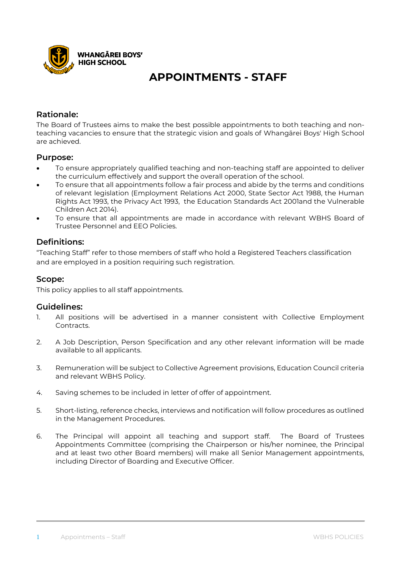

# **APPOINTMENTS - STAFF**

### **Rationale:**

The Board of Trustees aims to make the best possible appointments to both teaching and nonteaching vacancies to ensure that the strategic vision and goals of Whangārei Boys' High School are achieved.

### **Purpose:**

- To ensure appropriately qualified teaching and non-teaching staff are appointed to deliver the curriculum effectively and support the overall operation of the school.
- To ensure that all appointments follow a fair process and abide by the terms and conditions of relevant legislation (Employment Relations Act 2000, State Sector Act 1988, the Human Rights Act 1993, the Privacy Act 1993, the Education Standards Act 2001and the Vulnerable Children Act 2014).
- To ensure that all appointments are made in accordance with relevant WBHS Board of Trustee Personnel and EEO Policies.

### **Definitions:**

"Teaching Staff" refer to those members of staff who hold a Registered Teachers classification and are employed in a position requiring such registration.

### **Scope:**

This policy applies to all staff appointments.

#### **Guidelines:**

- 1. All positions will be advertised in a manner consistent with Collective Employment Contracts.
- 2. A Job Description, Person Specification and any other relevant information will be made available to all applicants.
- 3. Remuneration will be subject to Collective Agreement provisions, Education Council criteria and relevant WBHS Policy.
- 4. Saving schemes to be included in letter of offer of appointment.
- 5. Short-listing, reference checks, interviews and notification will follow procedures as outlined in the Management Procedures.
- 6. The Principal will appoint all teaching and support staff. The Board of Trustees Appointments Committee (comprising the Chairperson or his/her nominee, the Principal and at least two other Board members) will make all Senior Management appointments, including Director of Boarding and Executive Officer.